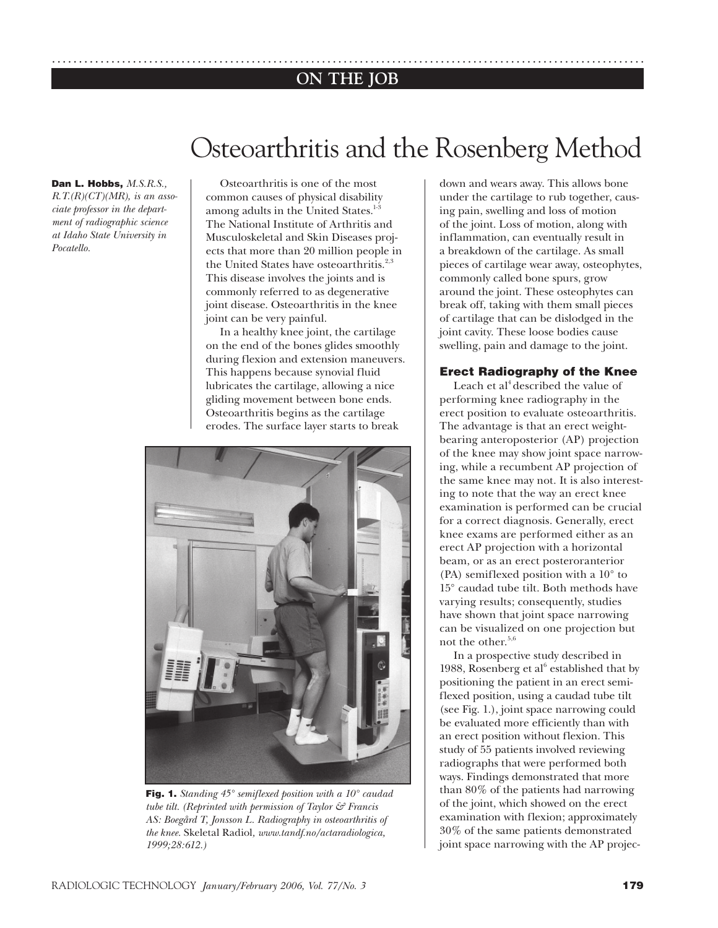## **ON THE JOB** ..............................................................................................................

# Osteoarthritis and the Rosenberg Method

#### **Dan L. Hobbs,** *M.S.R.S.,*

*R.T.(R)(CT)(MR), is an associate professor in the department of radiographic science at Idaho State University in Pocatello.*

Osteoarthritis is one of the most common causes of physical disability among adults in the United States.<sup>1-</sup> The National Institute of Arthritis and Musculoskeletal and Skin Diseases projects that more than 20 million people in the United States have osteoarthritis.<sup>2,3</sup> This disease involves the joints and is commonly referred to as degenerative joint disease. Osteoarthritis in the knee joint can be very painful.

In a healthy knee joint, the cartilage on the end of the bones glides smoothly during flexion and extension maneuvers. This happens because synovial fluid lubricates the cartilage, allowing a nice gliding movement between bone ends. Osteoarthritis begins as the cartilage erodes. The surface layer starts to break



**Fig. 1.** *Standing 45° semiflexed position with a 10° caudad tube tilt. (Reprinted with permission of Taylor & Francis AS: Boegård T, Jonsson L. Radiography in osteoarthritis of the knee.* Skeletal Radiol*, www.tandf.no/actaradiologica, 1999;28:612.)*

down and wears away. This allows bone under the cartilage to rub together, causing pain, swelling and loss of motion of the joint. Loss of motion, along with inflammation, can eventually result in a breakdown of the cartilage. As small pieces of cartilage wear away, osteophytes, commonly called bone spurs, grow around the joint. These osteophytes can break off, taking with them small pieces of cartilage that can be dislodged in the joint cavity. These loose bodies cause swelling, pain and damage to the joint.

#### **Erect Radiography of the Knee**

Leach et al<sup>4</sup> described the value of performing knee radiography in the erect position to evaluate osteoarthritis. The advantage is that an erect weightbearing anteroposterior (AP) projection of the knee may show joint space narrowing, while a recumbent AP projection of the same knee may not. It is also interesting to note that the way an erect knee examination is performed can be crucial for a correct diagnosis. Generally, erect knee exams are performed either as an erect AP projection with a horizontal beam, or as an erect posteroranterior (PA) semiflexed position with a 10° to 15° caudad tube tilt. Both methods have varying results; consequently, studies have shown that joint space narrowing can be visualized on one projection but not the other.<sup>5,6</sup>

In a prospective study described in 1988, Rosenberg et al<sup>6</sup> established that by positioning the patient in an erect semiflexed position, using a caudad tube tilt (see Fig. 1.), joint space narrowing could be evaluated more efficiently than with an erect position without flexion. This study of 55 patients involved reviewing radiographs that were performed both ways. Findings demonstrated that more than 80% of the patients had narrowing of the joint, which showed on the erect examination with flexion; approximately 30% of the same patients demonstrated joint space narrowing with the AP projec-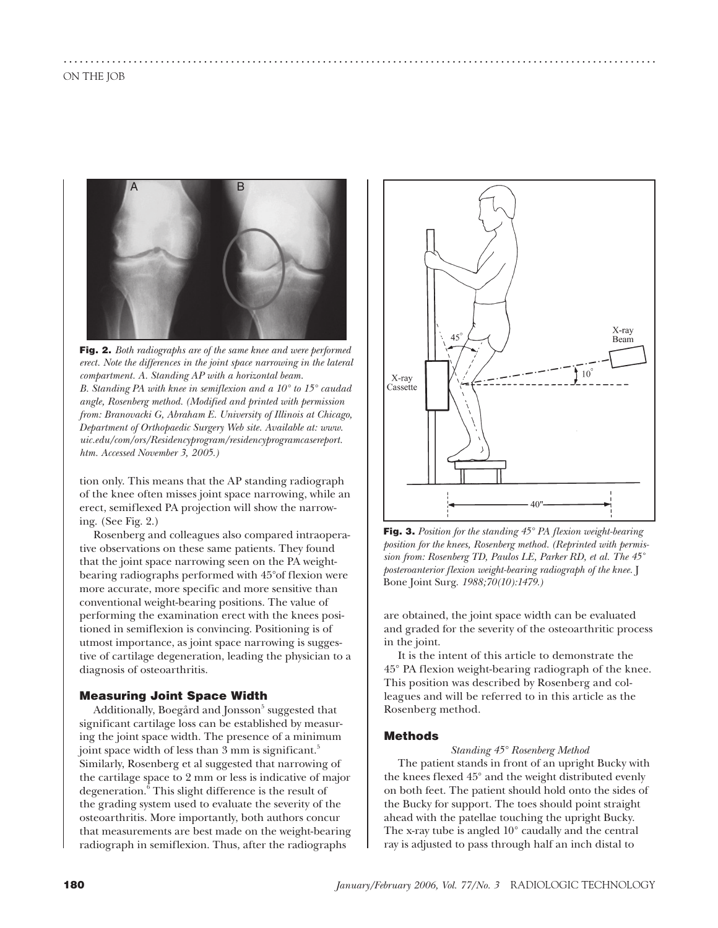

..............................................................................................................

**Fig. 2.** *Both radiographs are of the same knee and were performed erect. Note the differences in the joint space narrowing in the lateral compartment. A. Standing AP with a horizontal beam. B. Standing PA with knee in semiflexion and a 10° to 15° caudad angle, Rosenberg method. (Modified and printed with permission from: Branovacki G, Abraham E. University of Illinois at Chicago, Department of Orthopaedic Surgery Web site. Available at: www. uic.edu/com/ors/Residencyprogram/residencyprogramcasereport. htm. Accessed November 3, 2005.)*

tion only. This means that the AP standing radiograph of the knee often misses joint space narrowing, while an erect, semiflexed PA projection will show the narrowing. (See Fig. 2.)

Rosenberg and colleagues also compared intraoperative observations on these same patients. They found that the joint space narrowing seen on the PA weightbearing radiographs performed with 45°of flexion were more accurate, more specific and more sensitive than conventional weight-bearing positions. The value of performing the examination erect with the knees positioned in semiflexion is convincing. Positioning is of utmost importance, as joint space narrowing is suggestive of cartilage degeneration, leading the physician to a diagnosis of osteoarthritis.

## **Measuring Joint Space Width**

Additionally, Boegård and Jonsson $^5$  suggested that significant cartilage loss can be established by measuring the joint space width. The presence of a minimum joint space width of less than 3 mm is significant.<sup>5</sup> Similarly, Rosenberg et al suggested that narrowing of the cartilage space to 2 mm or less is indicative of major degeneration.<sup>6</sup> This slight difference is the result of the grading system used to evaluate the severity of the osteoarthritis. More importantly, both authors concur that measurements are best made on the weight-bearing radiograph in semiflexion. Thus, after the radiographs



**Fig. 3.** *Position for the standing 45° PA flexion weight-bearing position for the knees, Rosenberg method. (Reprinted with permission from: Rosenberg TD, Paulos LE, Parker RD, et al. The 45˚ posteroanterior flexion weight-bearing radiograph of the knee.* J Bone Joint Surg. *1988;70(10):1479.)*

are obtained, the joint space width can be evaluated and graded for the severity of the osteoarthritic process in the joint.

It is the intent of this article to demonstrate the 45° PA flexion weight-bearing radiograph of the knee. This position was described by Rosenberg and colleagues and will be referred to in this article as the Rosenberg method.

### **Methods**

*Standing 45° Rosenberg Method* The patient stands in front of an upright Bucky with the knees flexed 45° and the weight distributed evenly on both feet. The patient should hold onto the sides of the Bucky for support. The toes should point straight ahead with the patellae touching the upright Bucky. The x-ray tube is angled 10° caudally and the central ray is adjusted to pass through half an inch distal to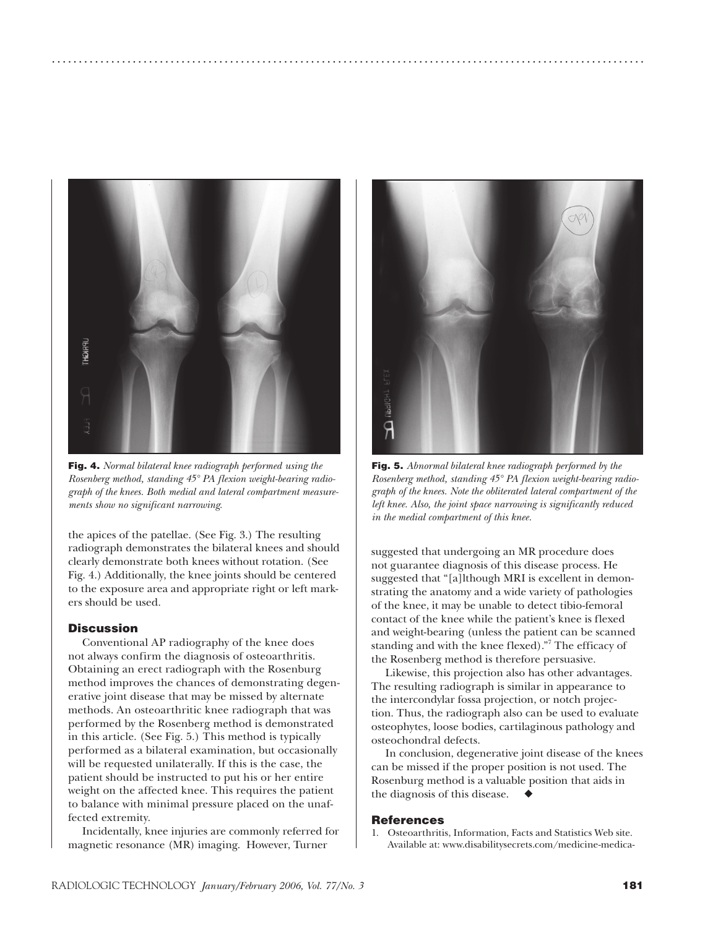

..............................................................................................................

**Fig. 4.** *Normal bilateral knee radiograph performed using the Rosenberg method, standing 45° PA flexion weight-bearing radiograph of the knees. Both medial and lateral compartment measurements show no significant narrowing.*

the apices of the patellae. (See Fig. 3.) The resulting radiograph demonstrates the bilateral knees and should clearly demonstrate both knees without rotation. (See Fig. 4.) Additionally, the knee joints should be centered to the exposure area and appropriate right or left markers should be used.

### **Discussion**

Conventional AP radiography of the knee does not always confirm the diagnosis of osteoarthritis. Obtaining an erect radiograph with the Rosenburg method improves the chances of demonstrating degenerative joint disease that may be missed by alternate methods. An osteoarthritic knee radiograph that was performed by the Rosenberg method is demonstrated in this article. (See Fig. 5.) This method is typically performed as a bilateral examination, but occasionally will be requested unilaterally. If this is the case, the patient should be instructed to put his or her entire weight on the affected knee. This requires the patient to balance with minimal pressure placed on the unaffected extremity.

Incidentally, knee injuries are commonly referred for magnetic resonance (MR) imaging. However, Turner



**Fig. 5.** *Abnormal bilateral knee radiograph performed by the Rosenberg method, standing 45° PA flexion weight-bearing radiograph of the knees. Note the obliterated lateral compartment of the left knee. Also, the joint space narrowing is significantly reduced in the medial compartment of this knee.*

suggested that undergoing an MR procedure does not guarantee diagnosis of this disease process. He suggested that "[a]lthough MRI is excellent in demonstrating the anatomy and a wide variety of pathologies of the knee, it may be unable to detect tibio-femoral contact of the knee while the patient's knee is flexed and weight-bearing (unless the patient can be scanned standing and with the knee flexed)."7 The efficacy of the Rosenberg method is therefore persuasive.

Likewise, this projection also has other advantages. The resulting radiograph is similar in appearance to the intercondylar fossa projection, or notch projection. Thus, the radiograph also can be used to evaluate osteophytes, loose bodies, cartilaginous pathology and osteochondral defects.

In conclusion, degenerative joint disease of the knees can be missed if the proper position is not used. The Rosenburg method is a valuable position that aids in the diagnosis of this disease.

#### **References**

1. Osteoarthritis, Information, Facts and Statistics Web site. Available at: www.disabilitysecrets.com/medicine-medica-